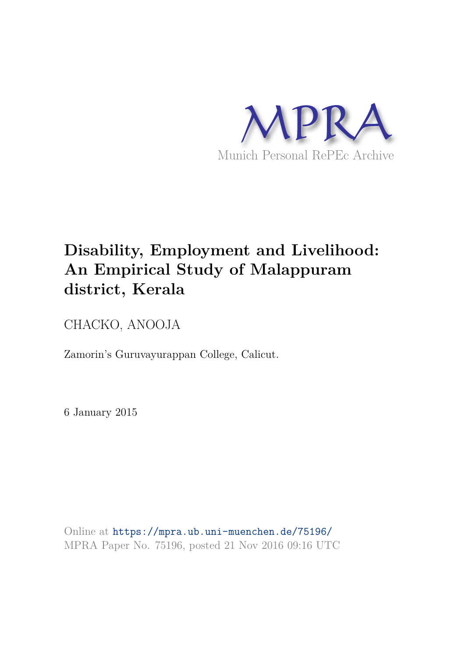

# **Disability, Employment and Livelihood: An Empirical Study of Malappuram district, Kerala**

CHACKO, ANOOJA

Zamorin's Guruvayurappan College, Calicut.

6 January 2015

Online at https://mpra.ub.uni-muenchen.de/75196/ MPRA Paper No. 75196, posted 21 Nov 2016 09:16 UTC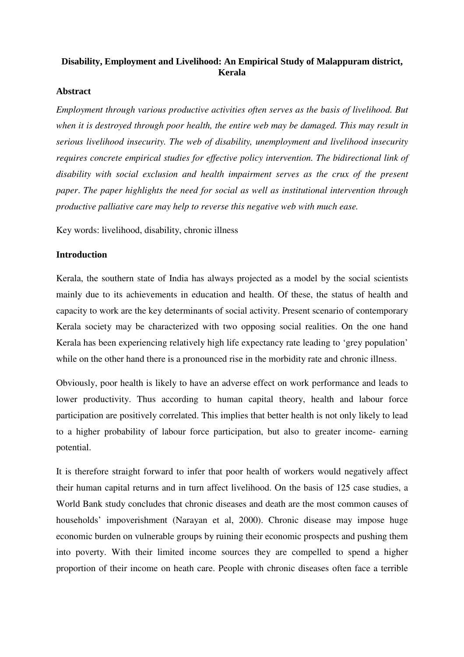## **Disability, Employment and Livelihood: An Empirical Study of Malappuram district, Kerala**

## **Abstract**

*Employment through various productive activities often serves as the basis of livelihood. But when it is destroyed through poor health, the entire web may be damaged. This may result in serious livelihood insecurity. The web of disability, unemployment and livelihood insecurity requires concrete empirical studies for effective policy intervention. The bidirectional link of disability with social exclusion and health impairment serves as the crux of the present paper*. *The paper highlights the need for social as well as institutional intervention through productive palliative care may help to reverse this negative web with much ease.*

Key words: livelihood, disability, chronic illness

## **Introduction**

Kerala, the southern state of India has always projected as a model by the social scientists mainly due to its achievements in education and health. Of these, the status of health and capacity to work are the key determinants of social activity. Present scenario of contemporary Kerala society may be characterized with two opposing social realities. On the one hand Kerala has been experiencing relatively high life expectancy rate leading to 'grey population' while on the other hand there is a pronounced rise in the morbidity rate and chronic illness.

Obviously, poor health is likely to have an adverse effect on work performance and leads to lower productivity. Thus according to human capital theory, health and labour force participation are positively correlated. This implies that better health is not only likely to lead to a higher probability of labour force participation, but also to greater income- earning potential.

It is therefore straight forward to infer that poor health of workers would negatively affect their human capital returns and in turn affect livelihood. On the basis of 125 case studies, a World Bank study concludes that chronic diseases and death are the most common causes of households' impoverishment (Narayan et al, 2000). Chronic disease may impose huge economic burden on vulnerable groups by ruining their economic prospects and pushing them into poverty. With their limited income sources they are compelled to spend a higher proportion of their income on heath care. People with chronic diseases often face a terrible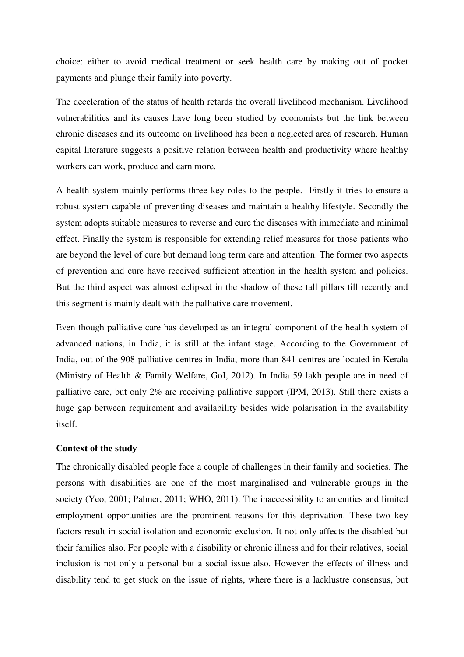choice: either to avoid medical treatment or seek health care by making out of pocket payments and plunge their family into poverty.

The deceleration of the status of health retards the overall livelihood mechanism. Livelihood vulnerabilities and its causes have long been studied by economists but the link between chronic diseases and its outcome on livelihood has been a neglected area of research. Human capital literature suggests a positive relation between health and productivity where healthy workers can work, produce and earn more.

A health system mainly performs three key roles to the people. Firstly it tries to ensure a robust system capable of preventing diseases and maintain a healthy lifestyle. Secondly the system adopts suitable measures to reverse and cure the diseases with immediate and minimal effect. Finally the system is responsible for extending relief measures for those patients who are beyond the level of cure but demand long term care and attention. The former two aspects of prevention and cure have received sufficient attention in the health system and policies. But the third aspect was almost eclipsed in the shadow of these tall pillars till recently and this segment is mainly dealt with the palliative care movement.

Even though palliative care has developed as an integral component of the health system of advanced nations, in India, it is still at the infant stage. According to the Government of India, out of the 908 palliative centres in India, more than 841 centres are located in Kerala (Ministry of Health & Family Welfare, GoI, 2012). In India 59 lakh people are in need of palliative care, but only 2% are receiving palliative support (IPM, 2013). Still there exists a huge gap between requirement and availability besides wide polarisation in the availability itself.

## **Context of the study**

The chronically disabled people face a couple of challenges in their family and societies. The persons with disabilities are one of the most marginalised and vulnerable groups in the society (Yeo, 2001; Palmer, 2011; WHO, 2011). The inaccessibility to amenities and limited employment opportunities are the prominent reasons for this deprivation. These two key factors result in social isolation and economic exclusion. It not only affects the disabled but their families also. For people with a disability or chronic illness and for their relatives, social inclusion is not only a personal but a social issue also. However the effects of illness and disability tend to get stuck on the issue of rights, where there is a lacklustre consensus, but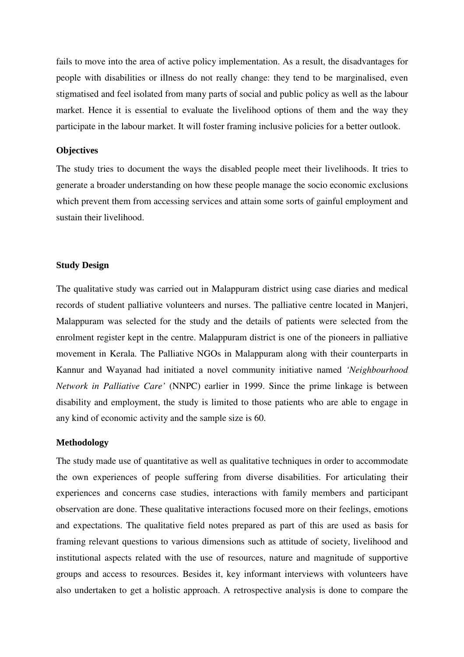fails to move into the area of active policy implementation. As a result, the disadvantages for people with disabilities or illness do not really change: they tend to be marginalised, even stigmatised and feel isolated from many parts of social and public policy as well as the labour market. Hence it is essential to evaluate the livelihood options of them and the way they participate in the labour market. It will foster framing inclusive policies for a better outlook.

## **Objectives**

The study tries to document the ways the disabled people meet their livelihoods. It tries to generate a broader understanding on how these people manage the socio economic exclusions which prevent them from accessing services and attain some sorts of gainful employment and sustain their livelihood.

## **Study Design**

The qualitative study was carried out in Malappuram district using case diaries and medical records of student palliative volunteers and nurses. The palliative centre located in Manjeri, Malappuram was selected for the study and the details of patients were selected from the enrolment register kept in the centre. Malappuram district is one of the pioneers in palliative movement in Kerala. The Palliative NGOs in Malappuram along with their counterparts in Kannur and Wayanad had initiated a novel community initiative named *'Neighbourhood Network in Palliative Care'* (NNPC) earlier in 1999. Since the prime linkage is between disability and employment, the study is limited to those patients who are able to engage in any kind of economic activity and the sample size is 60.

## **Methodology**

The study made use of quantitative as well as qualitative techniques in order to accommodate the own experiences of people suffering from diverse disabilities. For articulating their experiences and concerns case studies, interactions with family members and participant observation are done. These qualitative interactions focused more on their feelings, emotions and expectations. The qualitative field notes prepared as part of this are used as basis for framing relevant questions to various dimensions such as attitude of society, livelihood and institutional aspects related with the use of resources, nature and magnitude of supportive groups and access to resources. Besides it, key informant interviews with volunteers have also undertaken to get a holistic approach. A retrospective analysis is done to compare the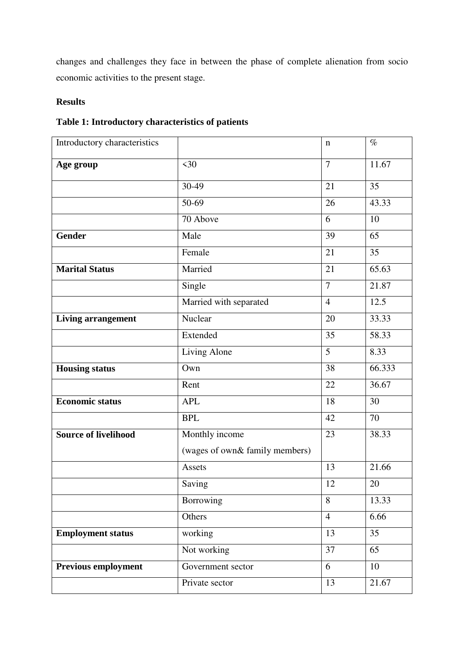changes and challenges they face in between the phase of complete alienation from socio economic activities to the present stage.

# **Results**

| Introductory characteristics |                                | $\mathbf n$    | $\%$   |
|------------------------------|--------------------------------|----------------|--------|
| Age group                    | $\leq 30$                      | $\overline{7}$ | 11.67  |
|                              | 30-49                          | 21             | 35     |
|                              | 50-69                          | 26             | 43.33  |
|                              | 70 Above                       | 6              | 10     |
| <b>Gender</b>                | Male                           | 39             | 65     |
|                              | Female                         | 21             | 35     |
| <b>Marital Status</b>        | Married                        | 21             | 65.63  |
|                              | Single                         | $\overline{7}$ | 21.87  |
|                              | Married with separated         | $\overline{4}$ | 12.5   |
| <b>Living arrangement</b>    | Nuclear                        | 20             | 33.33  |
|                              | Extended                       | 35             | 58.33  |
|                              | Living Alone                   | 5              | 8.33   |
| <b>Housing status</b>        | Own                            | 38             | 66.333 |
|                              | Rent                           | 22             | 36.67  |
| <b>Economic status</b>       | <b>APL</b>                     | 18             | 30     |
|                              | <b>BPL</b>                     | 42             | 70     |
| <b>Source of livelihood</b>  | Monthly income                 | 23             | 38.33  |
|                              | (wages of own& family members) |                |        |
|                              | Assets                         | 13             | 21.66  |
|                              | Saving                         | 12             | $20\,$ |
|                              | Borrowing                      | 8              | 13.33  |
|                              | Others                         | $\overline{4}$ | 6.66   |
| <b>Employment status</b>     | working                        | 13             | 35     |
|                              | Not working                    | 37             | 65     |
| <b>Previous employment</b>   | Government sector              | 6              | 10     |
|                              | Private sector                 | 13             | 21.67  |

# **Table 1: Introductory characteristics of patients**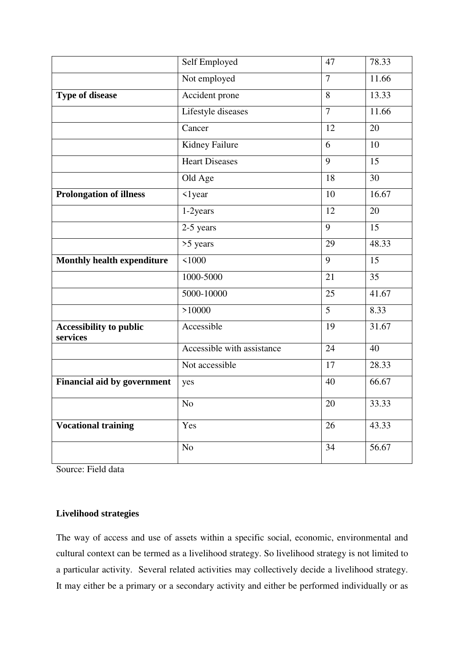|                                            | Self Employed              | 47              | 78.33           |
|--------------------------------------------|----------------------------|-----------------|-----------------|
|                                            | Not employed               | $\overline{7}$  | 11.66           |
| <b>Type of disease</b>                     | Accident prone             | 8               | 13.33           |
|                                            | Lifestyle diseases         | $\overline{7}$  | 11.66           |
|                                            | $\overline{C}$ ancer       | 12              | 20              |
|                                            | Kidney Failure             | 6               | 10              |
|                                            | <b>Heart Diseases</b>      | 9               | 15              |
|                                            | Old Age                    | 18              | $\overline{30}$ |
| <b>Prolongation of illness</b>             | $\langle$ 1 year           | 10              | 16.67           |
|                                            | $1-2$ years                | $\overline{12}$ | $\overline{20}$ |
|                                            | $2-5$ years                | 9               | 15              |
|                                            | $>5$ years                 | 29              | 48.33           |
| <b>Monthly health expenditure</b>          | 1000                       | 9               | 15              |
|                                            | 1000-5000                  | 21              | $\overline{35}$ |
|                                            | 5000-10000                 | 25              | 41.67           |
|                                            | >10000                     | 5               | 8.33            |
| <b>Accessibility to public</b><br>services | Accessible                 | 19              | 31.67           |
|                                            | Accessible with assistance | $\overline{24}$ | 40              |
|                                            | Not accessible             | 17              | 28.33           |
| <b>Financial aid by government</b>         | yes                        | 40              | 66.67           |
|                                            | N <sub>o</sub>             | 20              | 33.33           |
| <b>Vocational training</b>                 | Yes                        | 26              | 43.33           |
|                                            | N <sub>o</sub>             | 34              | 56.67           |

Source: Field data

## **Livelihood strategies**

The way of access and use of assets within a specific social, economic, environmental and cultural context can be termed as a livelihood strategy. So livelihood strategy is not limited to a particular activity. Several related activities may collectively decide a livelihood strategy. It may either be a primary or a secondary activity and either be performed individually or as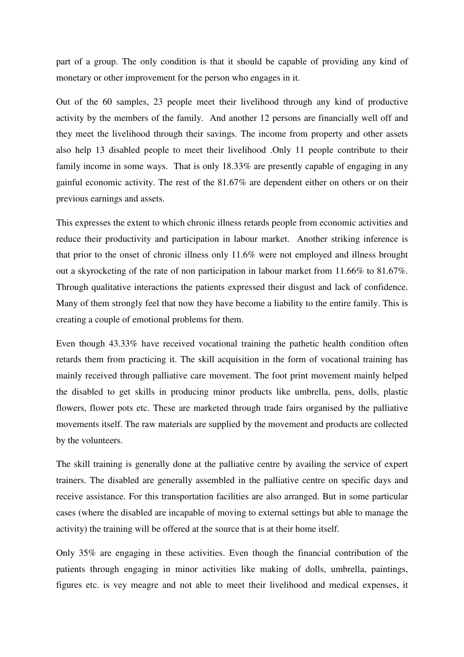part of a group. The only condition is that it should be capable of providing any kind of monetary or other improvement for the person who engages in it.

Out of the 60 samples, 23 people meet their livelihood through any kind of productive activity by the members of the family. And another 12 persons are financially well off and they meet the livelihood through their savings. The income from property and other assets also help 13 disabled people to meet their livelihood .Only 11 people contribute to their family income in some ways. That is only 18.33% are presently capable of engaging in any gainful economic activity. The rest of the 81.67% are dependent either on others or on their previous earnings and assets.

This expresses the extent to which chronic illness retards people from economic activities and reduce their productivity and participation in labour market. Another striking inference is that prior to the onset of chronic illness only 11.6% were not employed and illness brought out a skyrocketing of the rate of non participation in labour market from 11.66% to 81.67%. Through qualitative interactions the patients expressed their disgust and lack of confidence. Many of them strongly feel that now they have become a liability to the entire family. This is creating a couple of emotional problems for them.

Even though 43.33% have received vocational training the pathetic health condition often retards them from practicing it. The skill acquisition in the form of vocational training has mainly received through palliative care movement. The foot print movement mainly helped the disabled to get skills in producing minor products like umbrella, pens, dolls, plastic flowers, flower pots etc. These are marketed through trade fairs organised by the palliative movements itself. The raw materials are supplied by the movement and products are collected by the volunteers.

The skill training is generally done at the palliative centre by availing the service of expert trainers. The disabled are generally assembled in the palliative centre on specific days and receive assistance. For this transportation facilities are also arranged. But in some particular cases (where the disabled are incapable of moving to external settings but able to manage the activity) the training will be offered at the source that is at their home itself.

Only 35% are engaging in these activities. Even though the financial contribution of the patients through engaging in minor activities like making of dolls, umbrella, paintings, figures etc. is vey meagre and not able to meet their livelihood and medical expenses, it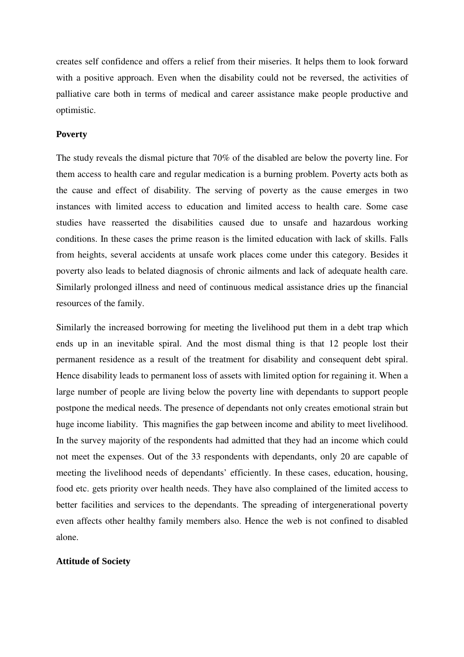creates self confidence and offers a relief from their miseries. It helps them to look forward with a positive approach. Even when the disability could not be reversed, the activities of palliative care both in terms of medical and career assistance make people productive and optimistic.

## **Poverty**

The study reveals the dismal picture that 70% of the disabled are below the poverty line. For them access to health care and regular medication is a burning problem. Poverty acts both as the cause and effect of disability. The serving of poverty as the cause emerges in two instances with limited access to education and limited access to health care. Some case studies have reasserted the disabilities caused due to unsafe and hazardous working conditions. In these cases the prime reason is the limited education with lack of skills. Falls from heights, several accidents at unsafe work places come under this category. Besides it poverty also leads to belated diagnosis of chronic ailments and lack of adequate health care. Similarly prolonged illness and need of continuous medical assistance dries up the financial resources of the family.

Similarly the increased borrowing for meeting the livelihood put them in a debt trap which ends up in an inevitable spiral. And the most dismal thing is that 12 people lost their permanent residence as a result of the treatment for disability and consequent debt spiral. Hence disability leads to permanent loss of assets with limited option for regaining it. When a large number of people are living below the poverty line with dependants to support people postpone the medical needs. The presence of dependants not only creates emotional strain but huge income liability. This magnifies the gap between income and ability to meet livelihood. In the survey majority of the respondents had admitted that they had an income which could not meet the expenses. Out of the 33 respondents with dependants, only 20 are capable of meeting the livelihood needs of dependants' efficiently. In these cases, education, housing, food etc. gets priority over health needs. They have also complained of the limited access to better facilities and services to the dependants. The spreading of intergenerational poverty even affects other healthy family members also. Hence the web is not confined to disabled alone.

## **Attitude of Society**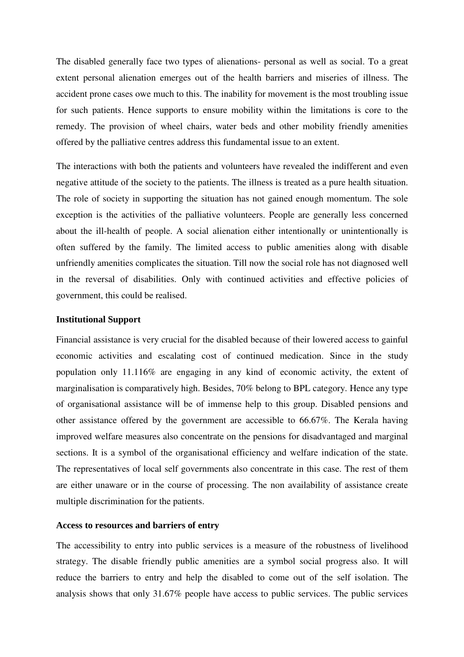The disabled generally face two types of alienations- personal as well as social. To a great extent personal alienation emerges out of the health barriers and miseries of illness. The accident prone cases owe much to this. The inability for movement is the most troubling issue for such patients. Hence supports to ensure mobility within the limitations is core to the remedy. The provision of wheel chairs, water beds and other mobility friendly amenities offered by the palliative centres address this fundamental issue to an extent.

The interactions with both the patients and volunteers have revealed the indifferent and even negative attitude of the society to the patients. The illness is treated as a pure health situation. The role of society in supporting the situation has not gained enough momentum. The sole exception is the activities of the palliative volunteers. People are generally less concerned about the ill-health of people. A social alienation either intentionally or unintentionally is often suffered by the family. The limited access to public amenities along with disable unfriendly amenities complicates the situation. Till now the social role has not diagnosed well in the reversal of disabilities. Only with continued activities and effective policies of government, this could be realised.

#### **Institutional Support**

Financial assistance is very crucial for the disabled because of their lowered access to gainful economic activities and escalating cost of continued medication. Since in the study population only 11.116% are engaging in any kind of economic activity, the extent of marginalisation is comparatively high. Besides, 70% belong to BPL category. Hence any type of organisational assistance will be of immense help to this group. Disabled pensions and other assistance offered by the government are accessible to 66.67%. The Kerala having improved welfare measures also concentrate on the pensions for disadvantaged and marginal sections. It is a symbol of the organisational efficiency and welfare indication of the state. The representatives of local self governments also concentrate in this case. The rest of them are either unaware or in the course of processing. The non availability of assistance create multiple discrimination for the patients.

## **Access to resources and barriers of entry**

The accessibility to entry into public services is a measure of the robustness of livelihood strategy. The disable friendly public amenities are a symbol social progress also. It will reduce the barriers to entry and help the disabled to come out of the self isolation. The analysis shows that only 31.67% people have access to public services. The public services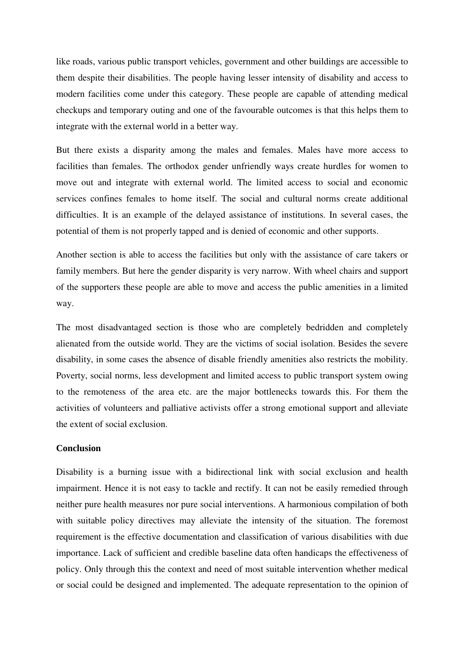like roads, various public transport vehicles, government and other buildings are accessible to them despite their disabilities. The people having lesser intensity of disability and access to modern facilities come under this category. These people are capable of attending medical checkups and temporary outing and one of the favourable outcomes is that this helps them to integrate with the external world in a better way.

But there exists a disparity among the males and females. Males have more access to facilities than females. The orthodox gender unfriendly ways create hurdles for women to move out and integrate with external world. The limited access to social and economic services confines females to home itself. The social and cultural norms create additional difficulties. It is an example of the delayed assistance of institutions. In several cases, the potential of them is not properly tapped and is denied of economic and other supports.

Another section is able to access the facilities but only with the assistance of care takers or family members. But here the gender disparity is very narrow. With wheel chairs and support of the supporters these people are able to move and access the public amenities in a limited way.

The most disadvantaged section is those who are completely bedridden and completely alienated from the outside world. They are the victims of social isolation. Besides the severe disability, in some cases the absence of disable friendly amenities also restricts the mobility. Poverty, social norms, less development and limited access to public transport system owing to the remoteness of the area etc. are the major bottlenecks towards this. For them the activities of volunteers and palliative activists offer a strong emotional support and alleviate the extent of social exclusion.

## **Conclusion**

Disability is a burning issue with a bidirectional link with social exclusion and health impairment. Hence it is not easy to tackle and rectify. It can not be easily remedied through neither pure health measures nor pure social interventions. A harmonious compilation of both with suitable policy directives may alleviate the intensity of the situation. The foremost requirement is the effective documentation and classification of various disabilities with due importance. Lack of sufficient and credible baseline data often handicaps the effectiveness of policy. Only through this the context and need of most suitable intervention whether medical or social could be designed and implemented. The adequate representation to the opinion of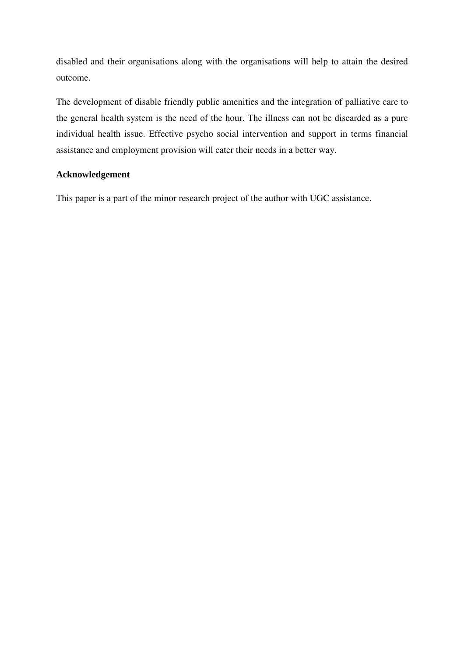disabled and their organisations along with the organisations will help to attain the desired outcome.

The development of disable friendly public amenities and the integration of palliative care to the general health system is the need of the hour. The illness can not be discarded as a pure individual health issue. Effective psycho social intervention and support in terms financial assistance and employment provision will cater their needs in a better way.

## **Acknowledgement**

This paper is a part of the minor research project of the author with UGC assistance.